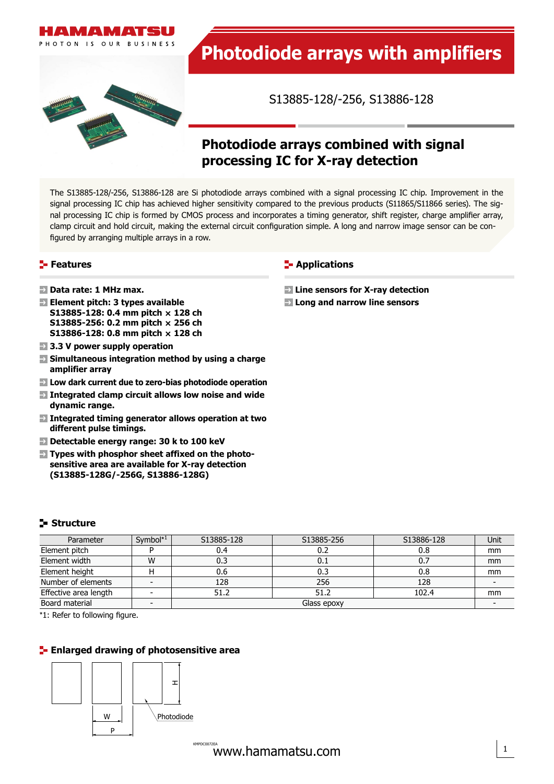



S13885-128/-256, S13886-128

# **Photodiode arrays combined with signal processing IC for X-ray detection**

The S13885-128/-256, S13886-128 are Si photodiode arrays combined with a signal processing IC chip. Improvement in the signal processing IC chip has achieved higher sensitivity compared to the previous products (S11865/S11866 series). The signal processing IC chip is formed by CMOS process and incorporates a timing generator, shift register, charge amplifier array, clamp circuit and hold circuit, making the external circuit configuration simple. A long and narrow image sensor can be configured by arranging multiple arrays in a row.

# **Features**

- **Data rate: 1 MHz max.**
- **Element pitch: 3 types available S13885-128: 0.4 mm pitch × 128 ch S13885-256: 0.2 mm pitch × 256 ch S13886-128: 0.8 mm pitch × 128 ch**
- **3.3 V power supply operation**
- **Simultaneous integration method by using a charge amplifier array**
- **Low dark current due to zero-bias photodiode operation**
- **Integrated clamp circuit allows low noise and wide dynamic range.**
- **Integrated timing generator allows operation at two different pulse timings.**
- **Detectable energy range: 30 k to 100 keV**
- Enlarged drawing of photosensitive area **(S13885-128G/-256G, S13886-128G)**  $\mathcal{S}_{\mathcal{S}}$ 393/S6494/S8866-64/-12866-64/-12866-64/-128, S8866-64G2/-128G2 **Types with phosphor sheet affixed on the photosensitive area are available for X-ray detection**

# **Structure**

| Parameter             | Symbol $*1$ | S13885-128  | S13885-256 | S13886-128 | Unit |  |
|-----------------------|-------------|-------------|------------|------------|------|--|
| Element pitch         |             | 0.4         | 0.2        | 0.8        | mm   |  |
| Element width         | W           | 0.3         | 0.1        | 0.7        | mm   |  |
| Element height        |             | 0.6         | 0.3        | 0.8        | mm   |  |
| Number of elements    |             | 128         | 256        | 128        |      |  |
| Effective area length |             | 51.2        | 51.2       | 102.4      | mm   |  |
| Board material        |             | Glass epoxy |            |            |      |  |

\*1: Refer to following figure.

# **Enlarged drawing of photosensitive area**



**F** Applications

- **Line sensors for X-ray detection**
- **Long and narrow line sensors**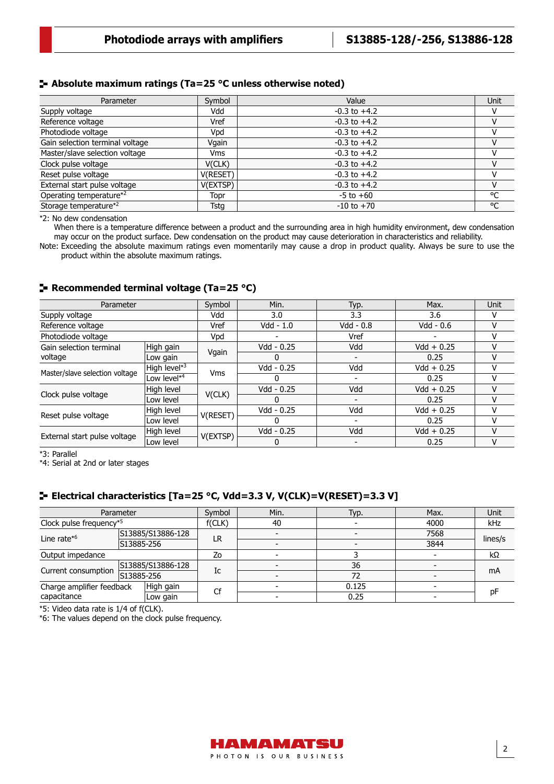# **Absolute maximum ratings (Ta=25 °C unless otherwise noted)**

| Parameter                         | Symbol      | Value            | Unit |
|-----------------------------------|-------------|------------------|------|
| Supply voltage                    | Vdd         | $-0.3$ to $+4.2$ |      |
| Reference voltage                 | Vref        | $-0.3$ to $+4.2$ | ٧    |
| Photodiode voltage                | Vpd         | $-0.3$ to $+4.2$ |      |
| Gain selection terminal voltage   | Vgain       | $-0.3$ to $+4.2$ | v    |
| Master/slave selection voltage    | Vms         | $-0.3$ to $+4.2$ |      |
| Clock pulse voltage               | V(CLK)      | $-0.3$ to $+4.2$ | v    |
| Reset pulse voltage               | V(RESET)    | $-0.3$ to $+4.2$ |      |
| External start pulse voltage      | V(EXTSP)    | $-0.3$ to $+4.2$ | v    |
| Operating temperature*2           | Topr        | $-5$ to $+60$    | °C   |
| Storage temperature* <sup>2</sup> | <b>Tstg</b> | $-10$ to $+70$   | °C   |

\*2: No dew condensation

When there is a temperature difference between a product and the surrounding area in high humidity environment, dew condensation may occur on the product surface. Dew condensation on the product may cause deterioration in characteristics and reliability.

Note: Exceeding the absolute maximum ratings even momentarily may cause a drop in product quality. Always be sure to use the product within the absolute maximum ratings.

# **Recommended terminal voltage (Ta=25 °C)**

| Parameter                      |              | Symbol     | Min.       | Typ.        | Max.         | <b>Unit</b> |
|--------------------------------|--------------|------------|------------|-------------|--------------|-------------|
| Supply voltage                 |              | Vdd        | 3.0        | 3.3         | 3.6          | v           |
| Reference voltage              |              | Vref       | Vdd - 1.0  | $Vdd - 0.8$ | Vdd - 0.6    | v           |
| Photodiode voltage             |              | Vpd        |            | Vref        |              | v           |
| Gain selection terminal        | High gain    | Vgain      | Vdd - 0.25 | Vdd         | $Vdd + 0.25$ | v           |
| voltage                        | Low gain     |            |            |             | 0.25         | v           |
| Master/slave selection voltage | High level*3 | <b>Vms</b> | Vdd - 0.25 | Vdd         | $Vdd + 0.25$ |             |
|                                | Low level*4  |            |            |             | 0.25         | v           |
| Clock pulse voltage            | High level   | V(CLK)     | Vdd - 0.25 | Vdd         | $Vdd + 0.25$ |             |
|                                | Low level    |            | O          |             | 0.25         | v           |
|                                | High level   |            | Vdd - 0.25 | Vdd         | $Vdd + 0.25$ | v           |
| Reset pulse voltage            | Low level    | V(RESET)   |            |             | 0.25         |             |
|                                | High level   |            | Vdd - 0.25 | Vdd         | $Vdd + 0.25$ | v           |
| External start pulse voltage   | Low level    | V(EXTSP)   |            |             | 0.25         | v           |

\*3: Parallel

\*4: Serial at 2nd or later stages

# **Electrical characteristics [Ta=25 °C, Vdd=3.3 V, V(CLK)=V(RESET)=3.3 V]**

|                                        | Parameter  | Symbol | Min. | Typ.  | Max. | Unit    |
|----------------------------------------|------------|--------|------|-------|------|---------|
| Clock pulse frequency*5                |            | f(CLK) | 40   |       | 4000 | kHz     |
| S13885/S13886-128                      |            |        |      |       | 7568 |         |
| Line rate $*6$                         | S13885-256 | LR     |      |       | 3844 | lines/s |
| Output impedance                       |            | Zo     |      |       |      | kΩ      |
| S13885/S13886-128                      |            | Ic     |      | 36    |      | mA      |
| Current consumption                    | S13885-256 |        |      | 72    |      |         |
| High gain<br>Charge amplifier feedback |            | Cf     |      | 0.125 |      | pF      |
| capacitance                            | Low gain   |        |      | 0.25  |      |         |

\*5: Video data rate is 1/4 of f(CLK).

\*6: The values depend on the clock pulse frequency.

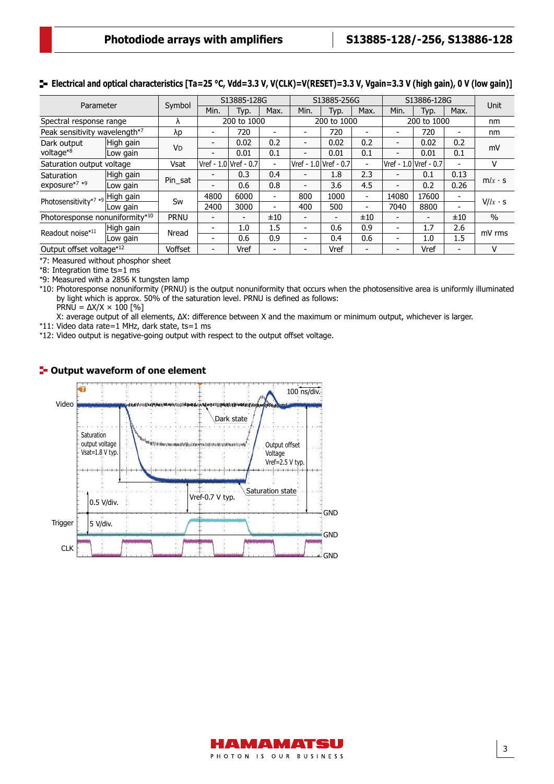# **E** Electrical and optical characteristics [Ta=25 °C, Vdd=3.3 V, V(CLK)=V(RESET)=3.3 V, Vgain=3.3 V (high gain), 0 V (low gain)]

| Parameter                                 |           |                      |                          | S13885-128G           |                          |                       | S13885-256G    |                          | S13886-128G              |                          | Unit                     |                |
|-------------------------------------------|-----------|----------------------|--------------------------|-----------------------|--------------------------|-----------------------|----------------|--------------------------|--------------------------|--------------------------|--------------------------|----------------|
|                                           |           | Symbol               | Min.                     | Typ.                  | Max.                     | Min.                  | Typ.           | Max.                     | Min.                     | Typ.                     | Max.                     |                |
| Spectral response range                   |           |                      |                          | 200 to 1000           |                          | 200 to 1000           |                | 200 to 1000              |                          | nm                       |                          |                |
| Peak sensitivity wavelength <sup>*7</sup> |           | λp                   | $\overline{\phantom{a}}$ | 720                   |                          |                       | 720            | $\overline{\phantom{0}}$ | $\overline{\phantom{a}}$ | 720                      | $\overline{\phantom{0}}$ | nm             |
| Dark output                               | High gain |                      | $\blacksquare$           | 0.02                  | 0.2                      | -                     | 0.02           | 0.2                      | $\overline{\phantom{a}}$ | 0.02                     | 0.2                      | mV             |
| voltage*8                                 | Low gain  | <b>V<sub>D</sub></b> | $\overline{\phantom{a}}$ | 0.01                  | 0.1                      |                       | 0.01           | 0.1                      | $\overline{\phantom{0}}$ | 0.01                     | 0.1                      |                |
| Saturation output voltage                 |           | Vsat                 |                          | Vref - 1.0 Vref - 0.7 | ۰                        | Vref - 1.0 Vref - 0.7 |                | $\overline{a}$           | Vref - 1.0 Vref - 0.7    |                          |                          | v              |
| Saturation                                | High gain |                      | $\overline{\phantom{0}}$ | 0.3                   | 0.4                      |                       | 1.8            | 2.3                      | $\blacksquare$           | 0.1                      | 0.13                     |                |
| exposure*7 *9                             | Low gain  | Pin_sat              | -                        | 0.6                   | 0.8                      |                       | 3.6            | 4.5                      | $\overline{\phantom{a}}$ | 0.2                      | 0.26                     | $m/x \cdot s$  |
| Photosensitivity*7 *9                     | High gain | Sw                   | 4800                     | 6000                  | $\overline{\phantom{0}}$ | 800                   | 1000           | $\overline{\phantom{0}}$ | 14080                    | 17600                    |                          |                |
|                                           | Low gain  |                      | 2400                     | 3000                  | $\overline{\phantom{0}}$ | 400                   | 500            | $\overline{\phantom{0}}$ | 7040                     | 8800                     | $\blacksquare$           | $V/lx \cdot s$ |
| Photoresponse nonuniformity*10            |           | <b>PRNU</b>          | $\overline{\phantom{a}}$ | $\qquad \qquad$       | ±10                      |                       | $\blacksquare$ | ±10                      | $\overline{\phantom{a}}$ | $\overline{\phantom{0}}$ | ±10                      | $\%$           |
| Readout noise*11                          | High gain | Nread                | $\overline{\phantom{0}}$ | 1.0                   | 1.5                      |                       | 0.6            | 0.9                      | $\overline{\phantom{a}}$ | 1.7                      | 2.6                      | mV rms         |
|                                           | Low gain  |                      | $\overline{\phantom{a}}$ | 0.6                   | 0.9                      |                       | 0.4            | 0.6                      | $\overline{\phantom{0}}$ | 1.0                      | 1.5                      |                |
| Output offset voltage*12                  |           | Voffset              | $\overline{\phantom{a}}$ | Vref                  |                          |                       | Vref           | $\overline{\phantom{0}}$ | $\blacksquare$           | Vref                     |                          | v              |

\*7: Measured without phosphor sheet

\*8: Integration time ts=1 ms

\*9: Measured with a 2856 K tungsten lamp

\*10: Photoresponse nonuniformity (PRNU) is the output nonuniformity that occurs when the photosensitive area is uniformly illuminated by light which is approx. 50% of the saturation level. PRNU is defined as follows:

PRNU =  $ΔX/X \times 100$  [%]

X: average output of all elements, ∆X: difference between X and the maximum or minimum output, whichever is larger.

\*11: Video data rate=1 MHz, dark state, ts=1 ms

\*12: Video output is negative-going output with respect to the output offset voltage.



### **F** Output waveform of one element

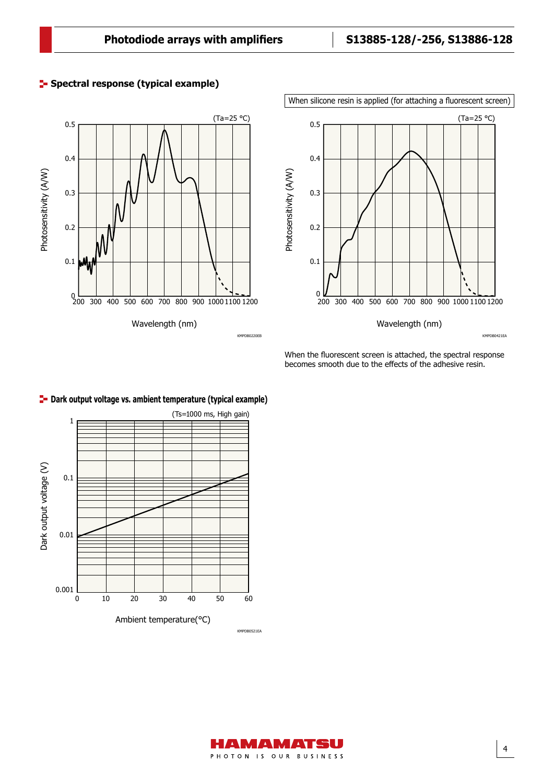





When the fluorescent screen is attached, the spectral response becomes smooth due to the effects of the adhesive resin.

4



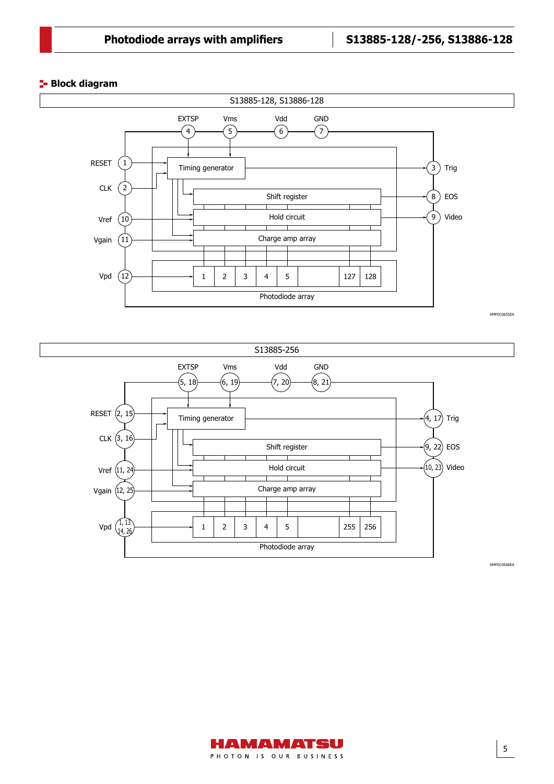# **Block diagram**





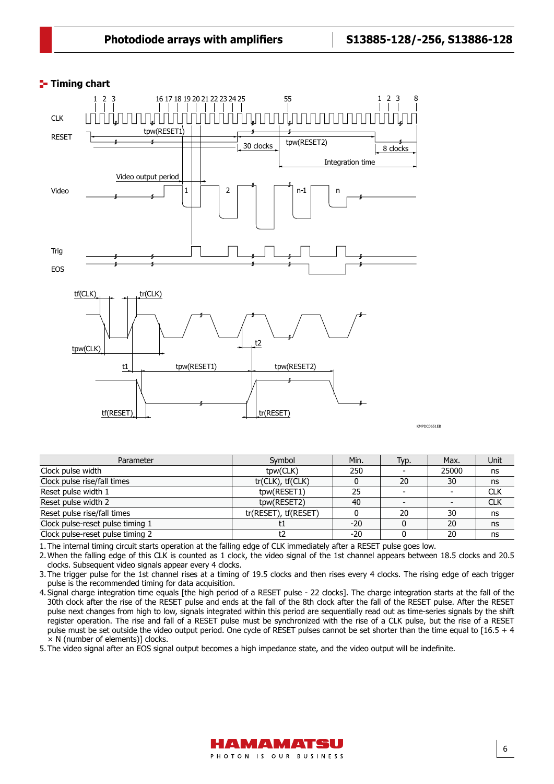#### **Timing chart** Timing chart



Parameter Symbol Min. Typ. Max. Unit Clock pulse width  $\qquad \qquad \qquad$  tpw(CLK) 250 - 25000 ns Clock pulse rise/fall times tr(CLK), tf(CLK) tr(CLK) 0 20 30 ns<br>Reset pulse width 1 to the the the transfer transfer to the the transfer transfer to the transfer transfer to the transfer transfer to the transfer transfer t Reset pulse width 1 tpw(RESET1) 25 - CLK<br>Reset pulse width 2 tpw(RESET2) 40 - CLK Reset pulse width 2 the control of the control of the the type (RESET2)  $\vert$  40  $\vert$  -  $\vert$  -Reset pulse rise/fall times<br>
Clock pulse-reset pulse timing 1 the set of the set of the set of the set of the set of the set of the set of the set of the set of the set of the set of the set of the set of the set of the se Clock pulse-reset pulse timing 1 the set of the set of the set of the set of the set of the set of the set of the set of the set of the set of the set of the set of the set of the set of the set of the set of the set of th Clock pulse-reset pulse timing 2 t2 d -20 0 20 ns

1. The internal timing circuit starts operation at the falling edge of CLK immediately after a RESET pulse goes low.

2. When the falling edge of this CLK is counted as 1 clock, the video signal of the 1st channel appears between 18.5 clocks and 20.5 clocks. Subsequent video signals appear every 4 clocks.

3. The trigger pulse for the 1st channel rises at a timing of 19.5 clocks and then rises every 4 clocks. The rising edge of each trigger pulse is the recommended timing for data acquisition.

4. Signal charge integration time equals [the high period of a RESET pulse - 22 clocks]. The charge integration starts at the fall of the 30th clock after the rise of the RESET pulse and ends at the fall of the 8th clock after the fall of the RESET pulse. After the RESET pulse next changes from high to low, signals integrated within this period are sequentially read out as time-series signals by the shift register operation. The rise and fall of a RESET pulse must be synchronized with the rise of a CLK pulse, but the rise of a RESET pulse must be set outside the video output period. One cycle of RESET pulses cannot be set shorter than the time equal to [16.5 + 4 × N (number of elements)] clocks.

5. The video signal after an EOS signal output becomes a high impedance state, and the video output will be indefinite.

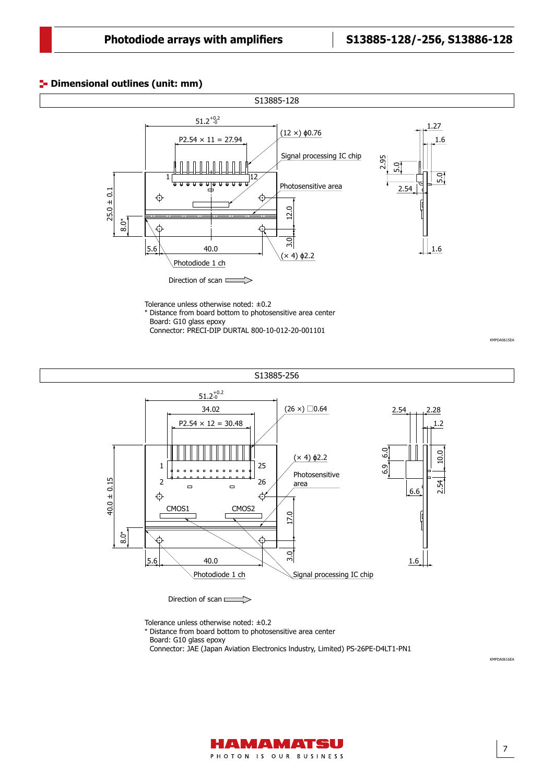7

KMPDA0616EA

KMPDA0615EA

# **<sup>1</sup>** Dimensional outlines (unit: mm)



Connector: PRECI-DIP DURTAL 800-10-012-20-001101

Dimensional outlines (S8865-256G, unit: mm) S13885-256 KMPDA0615EA  $51.2^{+0.2}_{-0}$ 34.02  $(26 \times)$  0.64 2.54 2.28  $P2.54 \times 12 = 30.48$ 1.2 6.9 6.0 O 2.54 10.0 (× 4) ϕ2.2 ₫ 25 1  $\blacksquare$  $\overline{a}$  $\overline{a}$  $\blacksquare$  $\blacksquare$  $\overline{a}$ Photosensitive  $\blacksquare$  $\blacksquare$  $40.0 \pm 0.15$ 2 26 40.0 ± 0.15 54 area  $\Box$  $\Box$ 6.6 ↔ € CMOS1 CMOS2 17.0 8.0\* c. 3.0  $5.6$  40.0 1.6 Photodiode 1 ch Signal processing IC chip

Direction of scan

Tolerance unless otherwise noted: ±0.2

\* Distance from board bottom to photosensitive area center

Board: G10 glass epoxy

Connector: JAE (Japan Aviation Electronics lndustry, Limited) PS-26PE-D4LT1-PN1

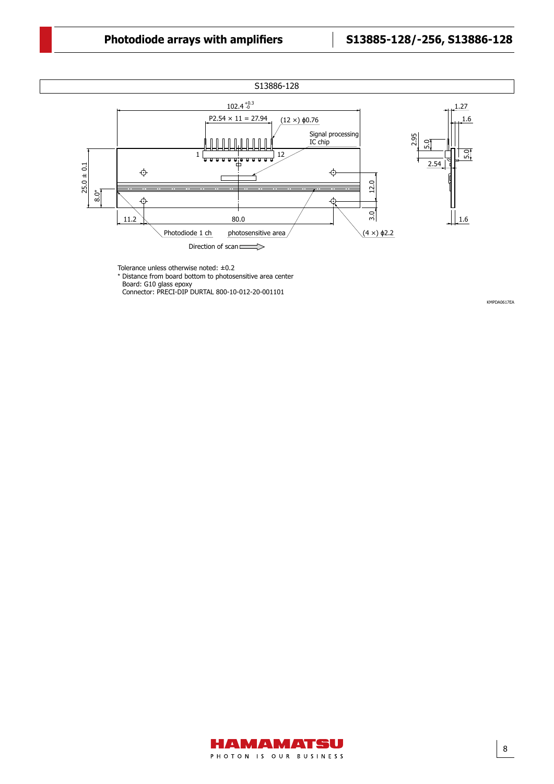# **Photodiode arrays with amplifiers S13885-128/-256, S13886-128**

Dimensional outline



Tolerance unless otherwise noted: ±0.2

\* Distance from board bottom to photosensitive area center

Board: G10 glass epoxy Connector: PRECI-DIP DURTAL 800-10-012-20-001101

KMPDA0617EA

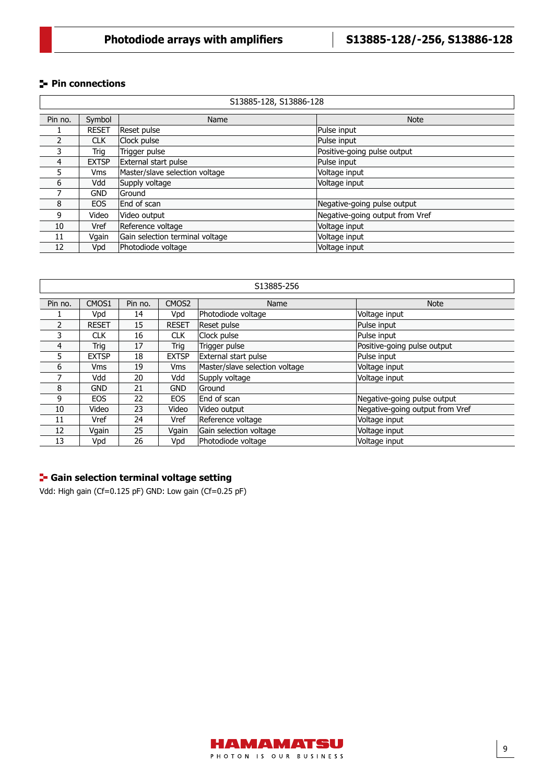# **Pin connections**

|         | S13885-128, S13886-128 |                                 |                                 |  |  |  |  |
|---------|------------------------|---------------------------------|---------------------------------|--|--|--|--|
|         |                        |                                 |                                 |  |  |  |  |
| Pin no. | Symbol                 | Name                            | <b>Note</b>                     |  |  |  |  |
|         | <b>RESET</b>           | Reset pulse                     | Pulse input                     |  |  |  |  |
| 2       | <b>CLK</b>             | Clock pulse                     | Pulse input                     |  |  |  |  |
| 3       | Trig                   | Trigger pulse                   | Positive-going pulse output     |  |  |  |  |
| 4       | <b>EXTSP</b>           | External start pulse            | Pulse input                     |  |  |  |  |
| 5       | <b>Vms</b>             | Master/slave selection voltage  | Voltage input                   |  |  |  |  |
| 6       | Vdd                    | Supply voltage                  | Voltage input                   |  |  |  |  |
| 7       | <b>GND</b>             | <b>Ground</b>                   |                                 |  |  |  |  |
| 8       | <b>EOS</b>             | End of scan                     | Negative-going pulse output     |  |  |  |  |
| 9       | Video                  | Video output                    | Negative-going output from Vref |  |  |  |  |
| 10      | Vref                   | Reference voltage               | Voltage input                   |  |  |  |  |
| 11      | Vgain                  | Gain selection terminal voltage | Voltage input                   |  |  |  |  |
| 12      | Vpd                    | Photodiode voltage              | Voltage input                   |  |  |  |  |

| S13885-256 |              |         |                   |                                |                                 |  |  |  |
|------------|--------------|---------|-------------------|--------------------------------|---------------------------------|--|--|--|
|            |              |         |                   |                                |                                 |  |  |  |
| Pin no.    | CMOS1        | Pin no. | CMOS <sub>2</sub> | Name                           | <b>Note</b>                     |  |  |  |
|            | Vpd          | 14      | Vpd               | Photodiode voltage             | Voltage input                   |  |  |  |
| 2          | <b>RESET</b> | 15      | <b>RESET</b>      | <b>Reset pulse</b>             | Pulse input                     |  |  |  |
| 3          | <b>CLK</b>   | 16      | <b>CLK</b>        | Clock pulse                    | Pulse input                     |  |  |  |
| 4          | Trig         | 17      | Trig              | Trigger pulse                  | Positive-going pulse output     |  |  |  |
| 5          | <b>EXTSP</b> | 18      | <b>EXTSP</b>      | External start pulse           | Pulse input                     |  |  |  |
| 6          | <b>Vms</b>   | 19      | <b>Vms</b>        | Master/slave selection voltage | Voltage input                   |  |  |  |
|            | Vdd          | 20      | Vdd               | Supply voltage                 | Voltage input                   |  |  |  |
| 8          | <b>GND</b>   | 21      | <b>GND</b>        | lGround                        |                                 |  |  |  |
| 9          | <b>EOS</b>   | 22      | <b>EOS</b>        | End of scan                    | Negative-going pulse output     |  |  |  |
| 10         | Video        | 23      | Video             | Video output                   | Negative-going output from Vref |  |  |  |
| 11         | Vref         | 24      | Vref              | Reference voltage              | Voltage input                   |  |  |  |
| 12         | Vgain        | 25      | Vgain             | Gain selection voltage         | Voltage input                   |  |  |  |
| 13         | Vpd          | 26      | Vpd               | Photodiode voltage             | Voltage input                   |  |  |  |

# **Gain selection terminal voltage setting**

Vdd: High gain (Cf=0.125 pF) GND: Low gain (Cf=0.25 pF)

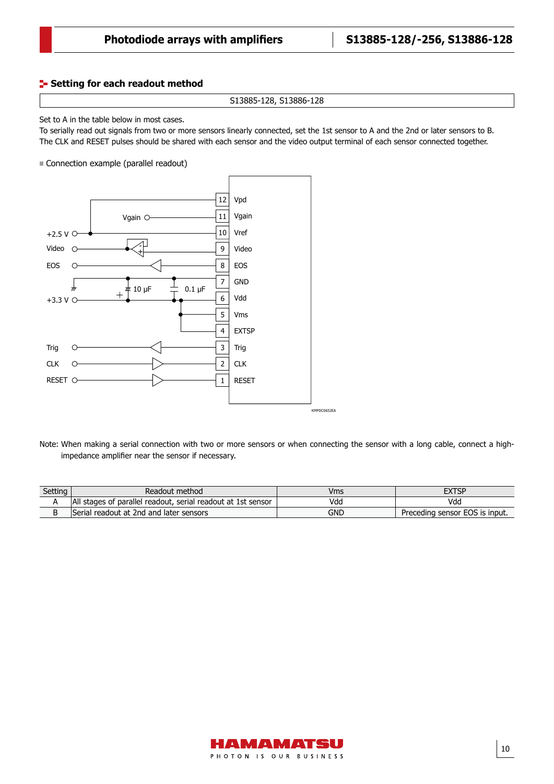#### **Setting for each readout method** Connection diagram

```
S13885-128, S13886-128
```
# Set to A in the table below in most cases.

To serially read out signals from two or more sensors linearly connected, set the 1st sensor to A and the 2nd or later sensors to B. The CLK and RESET pulses should be shared with each sensor and the video output terminal of each sensor connected together.

Connection example (parallel readout)



Note: When making a serial connection with two or more sensors or when connecting the sensor with a long cable, connect a highimpedance amplifier near the sensor if necessary.

| Setting | Readout method                                               | Vms |                                |
|---------|--------------------------------------------------------------|-----|--------------------------------|
|         | All stages of parallel readout, serial readout at 1st sensor | Vdd | Vdd                            |
|         | Serial readout at 2nd and later sensors                      | GND | Preceding sensor EOS is input. |

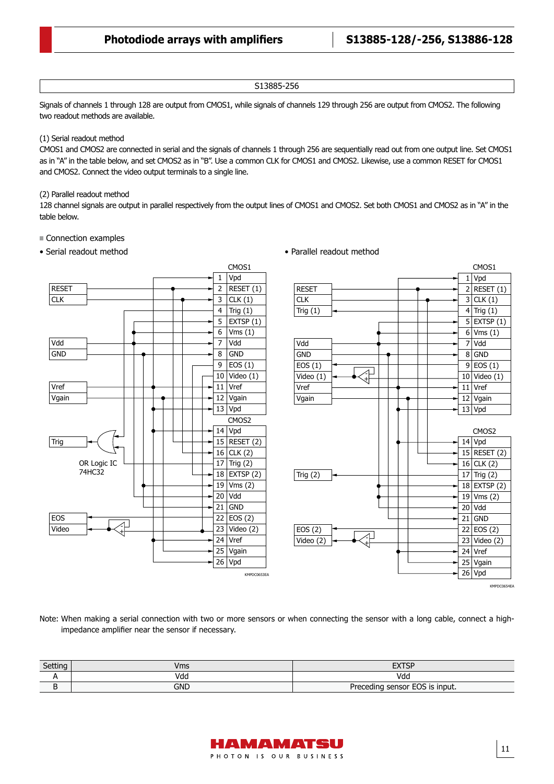### S13885-256

Signals of channels 1 through 128 are output from CMOS1, while signals of channels 129 through 256 are output from CMOS2. The following two readout methods are available.

### (1) Serial readout method

CMOS1 and CMOS2 are connected in serial and the signals of channels 1 through 256 are sequentially read out from one output line. Set CMOS1 as in "A" in the table below, and set CMOS2 as in "B". Use a common CLK for CMOS1 and CMOS2. Likewise, use a common RESET for CMOS1 and CMOS2. Connect the video output terminals to a single line.

### (2) Parallel readout method

128 channel signals are output in parallel respectively from the output lines of CMOS1 and CMOS2. Set both CMOS1 and CMOS2 as in "A" in the table below.

# Connection examples

# • Serial readout method





Note: When making a serial connection with two or more sensors or when connecting the sensor with a long cable, connect a highimpedance amplifier near the sensor if necessary.

| Setting | Vms | <b>FVTCP</b><br>∍<br>–∧'       |
|---------|-----|--------------------------------|
| . .     | Vda | Vda                            |
| ັ       | gnd | Preceding sensor EOS is input. |